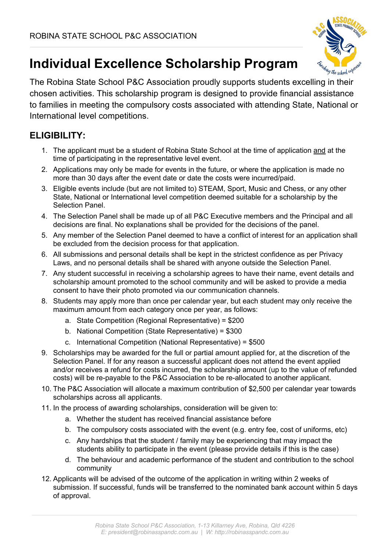

# **Individual Excellence Scholarship Program**

The Robina State School P&C Association proudly supports students excelling in their chosen activities. This scholarship program is designed to provide financial assistance to families in meeting the compulsory costs associated with attending State, National or International level competitions.

## **ELIGIBILITY:**

- 1. The applicant must be a student of Robina State School at the time of application and at the time of participating in the representative level event.
- 2. Applications may only be made for events in the future, or where the application is made no more than 30 days after the event date or date the costs were incurred/paid.
- 3. Eligible events include (but are not limited to) STEAM, Sport, Music and Chess, or any other State, National or International level competition deemed suitable for a scholarship by the Selection Panel.
- 4. The Selection Panel shall be made up of all P&C Executive members and the Principal and all decisions are final. No explanations shall be provided for the decisions of the panel.
- 5. Any member of the Selection Panel deemed to have a conflict of interest for an application shall be excluded from the decision process for that application.
- 6. All submissions and personal details shall be kept in the strictest confidence as per Privacy Laws, and no personal details shall be shared with anyone outside the Selection Panel.
- 7. Any student successful in receiving a scholarship agrees to have their name, event details and scholarship amount promoted to the school community and will be asked to provide a media consent to have their photo promoted via our communication channels.
- 8. Students may apply more than once per calendar year, but each student may only receive the maximum amount from each category once per year, as follows:
	- a. State Competition (Regional Representative) = \$200
	- b. National Competition (State Representative) = \$300
	- c. International Competition (National Representative) = \$500
- 9. Scholarships may be awarded for the full or partial amount applied for, at the discretion of the Selection Panel. If for any reason a successful applicant does not attend the event applied and/or receives a refund for costs incurred, the scholarship amount (up to the value of refunded costs) will be re-payable to the P&C Association to be re-allocated to another applicant.
- 10. The P&C Association will allocate a maximum contribution of \$2,500 per calendar year towards scholarships across all applicants.
- 11. In the process of awarding scholarships, consideration will be given to:
	- a. Whether the student has received financial assistance before
	- b. The compulsory costs associated with the event (e.g. entry fee, cost of uniforms, etc)
	- c. Any hardships that the student / family may be experiencing that may impact the students ability to participate in the event (please provide details if this is the case)
	- d. The behaviour and academic performance of the student and contribution to the school community
- 12. Applicants will be advised of the outcome of the application in writing within 2 weeks of submission. If successful, funds will be transferred to the nominated bank account within 5 days of approval.